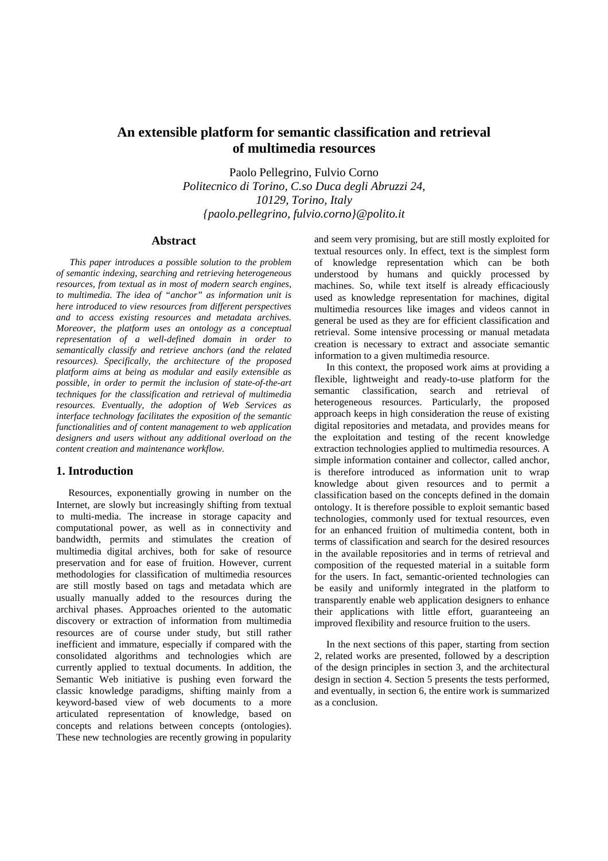# **An extensible platform for semantic classification and retrieval of multimedia resources**

Paolo Pellegrino, Fulvio Corno *Politecnico di Torino, C.so Duca degli Abruzzi 24, 10129, Torino, Italy {paolo.pellegrino, fulvio.corno}@polito.it* 

### **Abstract**

*This paper introduces a possible solution to the problem of semantic indexing, searching and retrieving heterogeneous resources, from textual as in most of modern search engines, to multimedia. The idea of "anchor" as information unit is here introduced to view resources from different perspectives and to access existing resources and metadata archives. Moreover, the platform uses an ontology as a conceptual representation of a well-defined domain in order to semantically classify and retrieve anchors (and the related resources). Specifically, the architecture of the proposed platform aims at being as modular and easily extensible as possible, in order to permit the inclusion of state-of-the-art techniques for the classification and retrieval of multimedia resources. Eventually, the adoption of Web Services as interface technology facilitates the exposition of the semantic functionalities and of content management to web application designers and users without any additional overload on the content creation and maintenance workflow.* 

### **1. Introduction**

Resources, exponentially growing in number on the Internet, are slowly but increasingly shifting from textual to multi-media. The increase in storage capacity and computational power, as well as in connectivity and bandwidth, permits and stimulates the creation of multimedia digital archives, both for sake of resource preservation and for ease of fruition. However, current methodologies for classification of multimedia resources are still mostly based on tags and metadata which are usually manually added to the resources during the archival phases. Approaches oriented to the automatic discovery or extraction of information from multimedia resources are of course under study, but still rather inefficient and immature, especially if compared with the consolidated algorithms and technologies which are currently applied to textual documents. In addition, the Semantic Web initiative is pushing even forward the classic knowledge paradigms, shifting mainly from a keyword-based view of web documents to a more articulated representation of knowledge, based on concepts and relations between concepts (ontologies). These new technologies are recently growing in popularity

and seem very promising, but are still mostly exploited for textual resources only. In effect, text is the simplest form of knowledge representation which can be both understood by humans and quickly processed by machines. So, while text itself is already efficaciously used as knowledge representation for machines, digital multimedia resources like images and videos cannot in general be used as they are for efficient classification and retrieval. Some intensive processing or manual metadata creation is necessary to extract and associate semantic information to a given multimedia resource.

In this context, the proposed work aims at providing a flexible, lightweight and ready-to-use platform for the semantic classification, search and retrieval of heterogeneous resources. Particularly, the proposed approach keeps in high consideration the reuse of existing digital repositories and metadata, and provides means for the exploitation and testing of the recent knowledge extraction technologies applied to multimedia resources. A simple information container and collector, called anchor, is therefore introduced as information unit to wrap knowledge about given resources and to permit a classification based on the concepts defined in the domain ontology. It is therefore possible to exploit semantic based technologies, commonly used for textual resources, even for an enhanced fruition of multimedia content, both in terms of classification and search for the desired resources in the available repositories and in terms of retrieval and composition of the requested material in a suitable form for the users. In fact, semantic-oriented technologies can be easily and uniformly integrated in the platform to transparently enable web application designers to enhance their applications with little effort, guaranteeing an improved flexibility and resource fruition to the users.

In the next sections of this paper, starting from section 2, related works are presented, followed by a description of the design principles in section 3, and the architectural design in section 4. Section 5 presents the tests performed, and eventually, in section 6, the entire work is summarized as a conclusion.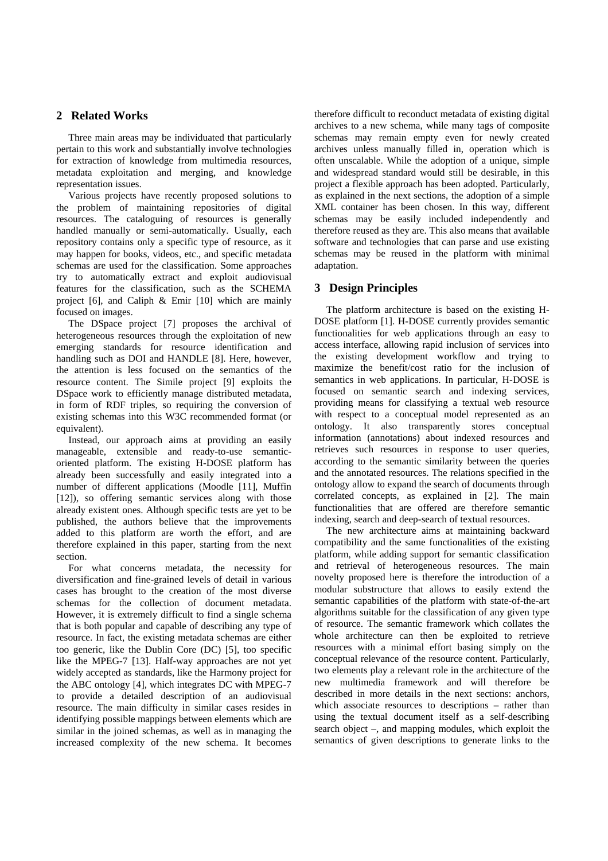# **2 Related Works**

Three main areas may be individuated that particularly pertain to this work and substantially involve technologies for extraction of knowledge from multimedia resources, metadata exploitation and merging, and knowledge representation issues.

Various projects have recently proposed solutions to the problem of maintaining repositories of digital resources. The cataloguing of resources is generally handled manually or semi-automatically. Usually, each repository contains only a specific type of resource, as it may happen for books, videos, etc., and specific metadata schemas are used for the classification. Some approaches try to automatically extract and exploit audiovisual features for the classification, such as the SCHEMA project [6], and Caliph & Emir [10] which are mainly focused on images.

The DSpace project [7] proposes the archival of heterogeneous resources through the exploitation of new emerging standards for resource identification and handling such as DOI and HANDLE [8]. Here, however, the attention is less focused on the semantics of the resource content. The Simile project [9] exploits the DSpace work to efficiently manage distributed metadata, in form of RDF triples, so requiring the conversion of existing schemas into this W3C recommended format (or equivalent).

Instead, our approach aims at providing an easily manageable, extensible and ready-to-use semanticoriented platform. The existing H-DOSE platform has already been successfully and easily integrated into a number of different applications (Moodle [11], Muffin [12]), so offering semantic services along with those already existent ones. Although specific tests are yet to be published, the authors believe that the improvements added to this platform are worth the effort, and are therefore explained in this paper, starting from the next section.

For what concerns metadata, the necessity for diversification and fine-grained levels of detail in various cases has brought to the creation of the most diverse schemas for the collection of document metadata. However, it is extremely difficult to find a single schema that is both popular and capable of describing any type of resource. In fact, the existing metadata schemas are either too generic, like the Dublin Core (DC) [5], too specific like the MPEG-7 [13]. Half-way approaches are not yet widely accepted as standards, like the Harmony project for the ABC ontology [4], which integrates DC with MPEG-7 to provide a detailed description of an audiovisual resource. The main difficulty in similar cases resides in identifying possible mappings between elements which are similar in the joined schemas, as well as in managing the increased complexity of the new schema. It becomes

therefore difficult to reconduct metadata of existing digital archives to a new schema, while many tags of composite schemas may remain empty even for newly created archives unless manually filled in, operation which is often unscalable. While the adoption of a unique, simple and widespread standard would still be desirable, in this project a flexible approach has been adopted. Particularly, as explained in the next sections, the adoption of a simple XML container has been chosen. In this way, different schemas may be easily included independently and therefore reused as they are. This also means that available software and technologies that can parse and use existing schemas may be reused in the platform with minimal adaptation.

# **3 Design Principles**

The platform architecture is based on the existing H-DOSE platform [1]. H-DOSE currently provides semantic functionalities for web applications through an easy to access interface, allowing rapid inclusion of services into the existing development workflow and trying to maximize the benefit/cost ratio for the inclusion of semantics in web applications. In particular, H-DOSE is focused on semantic search and indexing services, providing means for classifying a textual web resource with respect to a conceptual model represented as an ontology. It also transparently stores conceptual information (annotations) about indexed resources and retrieves such resources in response to user queries, according to the semantic similarity between the queries and the annotated resources. The relations specified in the ontology allow to expand the search of documents through correlated concepts, as explained in [2]. The main functionalities that are offered are therefore semantic indexing, search and deep-search of textual resources.

The new architecture aims at maintaining backward compatibility and the same functionalities of the existing platform, while adding support for semantic classification and retrieval of heterogeneous resources. The main novelty proposed here is therefore the introduction of a modular substructure that allows to easily extend the semantic capabilities of the platform with state-of-the-art algorithms suitable for the classification of any given type of resource. The semantic framework which collates the whole architecture can then be exploited to retrieve resources with a minimal effort basing simply on the conceptual relevance of the resource content. Particularly, two elements play a relevant role in the architecture of the new multimedia framework and will therefore be described in more details in the next sections: anchors, which associate resources to descriptions – rather than using the textual document itself as a self-describing search object –, and mapping modules, which exploit the semantics of given descriptions to generate links to the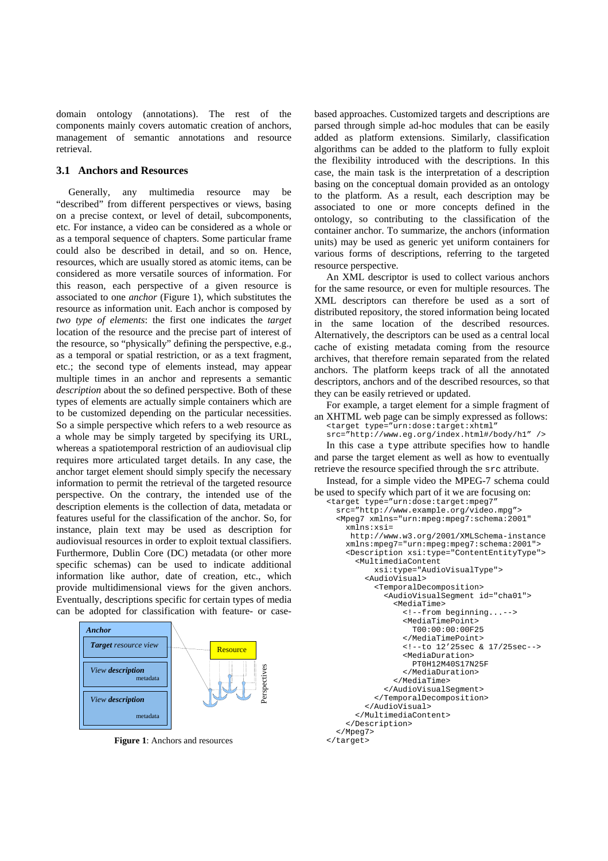domain ontology (annotations). The rest of the components mainly covers automatic creation of anchors, management of semantic annotations and resource retrieval.

#### **3.1 Anchors and Resources**

Generally, any multimedia resource may be "described" from different perspectives or views, basing on a precise context, or level of detail, subcomponents, etc. For instance, a video can be considered as a whole or as a temporal sequence of chapters. Some particular frame could also be described in detail, and so on. Hence, resources, which are usually stored as atomic items, can be considered as more versatile sources of information. For this reason, each perspective of a given resource is associated to one *anchor* (Figure 1), which substitutes the resource as information unit. Each anchor is composed by *two type of elements*: the first one indicates the *target* location of the resource and the precise part of interest of the resource, so "physically" defining the perspective, e.g., as a temporal or spatial restriction, or as a text fragment, etc.; the second type of elements instead, may appear multiple times in an anchor and represents a semantic *description* about the so defined perspective. Both of these types of elements are actually simple containers which are to be customized depending on the particular necessities. So a simple perspective which refers to a web resource as a whole may be simply targeted by specifying its URL, whereas a spatiotemporal restriction of an audiovisual clip requires more articulated target details. In any case, the anchor target element should simply specify the necessary information to permit the retrieval of the targeted resource perspective. On the contrary, the intended use of the description elements is the collection of data, metadata or features useful for the classification of the anchor. So, for instance, plain text may be used as description for audiovisual resources in order to exploit textual classifiers. Furthermore, Dublin Core (DC) metadata (or other more specific schemas) can be used to indicate additional information like author, date of creation, etc., which provide multidimensional views for the given anchors. Eventually, descriptions specific for certain types of media can be adopted for classification with feature- or case-



**Figure 1**: Anchors and resources

based approaches. Customized targets and descriptions are parsed through simple ad-hoc modules that can be easily added as platform extensions. Similarly, classification algorithms can be added to the platform to fully exploit the flexibility introduced with the descriptions. In this case, the main task is the interpretation of a description basing on the conceptual domain provided as an ontology to the platform. As a result, each description may be associated to one or more concepts defined in the ontology, so contributing to the classification of the container anchor. To summarize, the anchors (information units) may be used as generic yet uniform containers for various forms of descriptions, referring to the targeted resource perspective.

An XML descriptor is used to collect various anchors for the same resource, or even for multiple resources. The XML descriptors can therefore be used as a sort of distributed repository, the stored information being located in the same location of the described resources. Alternatively, the descriptors can be used as a central local cache of existing metadata coming from the resource archives, that therefore remain separated from the related anchors. The platform keeps track of all the annotated descriptors, anchors and of the described resources, so that they can be easily retrieved or updated.

For example, a target element for a simple fragment of an XHTML web page can be simply expressed as follows:

```
<target type="urn:dose:target:xhtml" 
src="http://www.eg.org/index.html#/body/h1" />
```
In this case a type attribute specifies how to handle and parse the target element as well as how to eventually retrieve the resource specified through the src attribute.

Instead, for a simple video the MPEG-7 schema could be used to specify which part of it we are focusing on:

```
<target type="urn:dose:target:mpeg7" 
   src="http://www.example.org/video.mpg"> 
   <Mpeg7 xmlns="urn:mpeg:mpeg7:schema:2001" 
     xmlns:xsi= 
      http://www.w3.org/2001/XMLSchema-instance 
     xmlns:mpeg7="urn:mpeg:mpeg7:schema:2001"> 
     <Description xsi:type="ContentEntityType"> 
       <MultimediaContent 
            xsi:type="AudioVisualType"> 
          <AudioVisual> 
            <TemporalDecomposition> 
              <AudioVisualSegment id="cha01"> 
                <MediaTime> 
                   <!--from beginning...--> 
                   <MediaTimePoint> 
                    T00:00:00:00F25 
                   </MediaTimePoint> 
                   <!--to 12'25sec & 17/25sec--> 
                   <MediaDuration> 
                    PT0H12M40S17N25F 
                   </MediaDuration> 
                </MediaTime> 
              </AudioVisualSegment> 
            </TemporalDecomposition> 
          </AudioVisual> 
       </MultimediaContent> 
     </Description> 
   </Mpeg7> 
</target>
```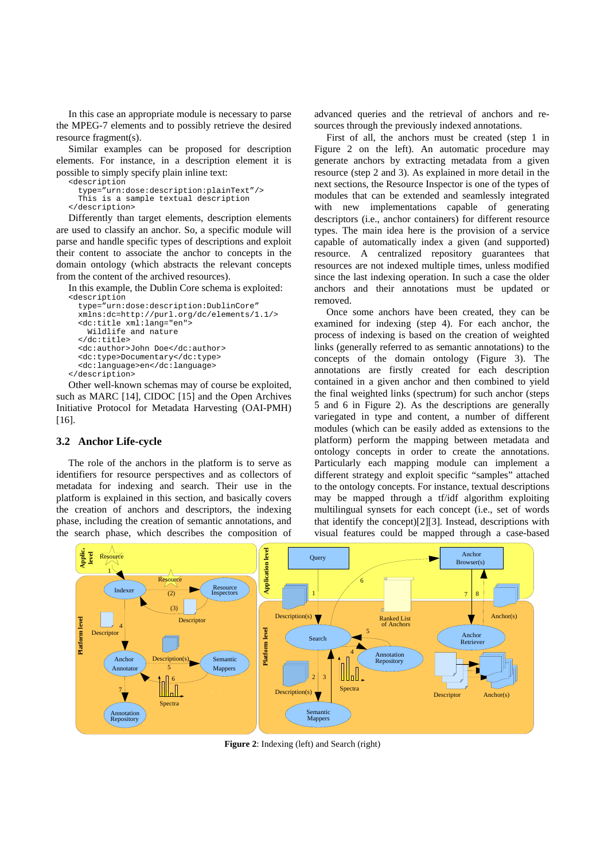In this case an appropriate module is necessary to parse the MPEG-7 elements and to possibly retrieve the desired resource fragment(s).

Similar examples can be proposed for description elements. For instance, in a description element it is possible to simply specify plain inline text: <description

```
 type="urn:dose:description:plainText"/> 
   This is a sample textual description 
</description>
```
Differently than target elements, description elements are used to classify an anchor. So, a specific module will parse and handle specific types of descriptions and exploit their content to associate the anchor to concepts in the domain ontology (which abstracts the relevant concepts from the content of the archived resources).

In this example, the Dublin Core schema is exploited: <description

```
 type="urn:dose:description:DublinCore" 
  xmlns:dc=http://purl.org/dc/elements/1.1/> 
   <dc:title xml:lang="en"> 
     Wildlife and nature 
   </dc:title> 
   <dc:author>John Doe</dc:author> 
   <dc:type>Documentary</dc:type> 
   <dc:language>en</dc:language> 
</description>
```
Other well-known schemas may of course be exploited, such as MARC [14], CIDOC [15] and the Open Archives Initiative Protocol for Metadata Harvesting (OAI-PMH) [16].

## **3.2 Anchor Life-cycle**

The role of the anchors in the platform is to serve as identifiers for resource perspectives and as collectors of metadata for indexing and search. Their use in the platform is explained in this section, and basically covers the creation of anchors and descriptors, the indexing phase, including the creation of semantic annotations, and the search phase, which describes the composition of

advanced queries and the retrieval of anchors and resources through the previously indexed annotations.

First of all, the anchors must be created (step 1 in Figure 2 on the left). An automatic procedure may generate anchors by extracting metadata from a given resource (step 2 and 3). As explained in more detail in the next sections, the Resource Inspector is one of the types of modules that can be extended and seamlessly integrated with new implementations capable of generating descriptors (i.e., anchor containers) for different resource types. The main idea here is the provision of a service capable of automatically index a given (and supported) resource. A centralized repository guarantees that resources are not indexed multiple times, unless modified since the last indexing operation. In such a case the older anchors and their annotations must be updated or removed.

Once some anchors have been created, they can be examined for indexing (step 4). For each anchor, the process of indexing is based on the creation of weighted links (generally referred to as semantic annotations) to the concepts of the domain ontology (Figure 3). The annotations are firstly created for each description contained in a given anchor and then combined to yield the final weighted links (spectrum) for such anchor (steps 5 and 6 in Figure 2). As the descriptions are generally variegated in type and content, a number of different modules (which can be easily added as extensions to the platform) perform the mapping between metadata and ontology concepts in order to create the annotations. Particularly each mapping module can implement a different strategy and exploit specific "samples" attached to the ontology concepts. For instance, textual descriptions may be mapped through a tf/idf algorithm exploiting multilingual synsets for each concept (i.e., set of words that identify the concept)[2][3]. Instead, descriptions with visual features could be mapped through a case-based

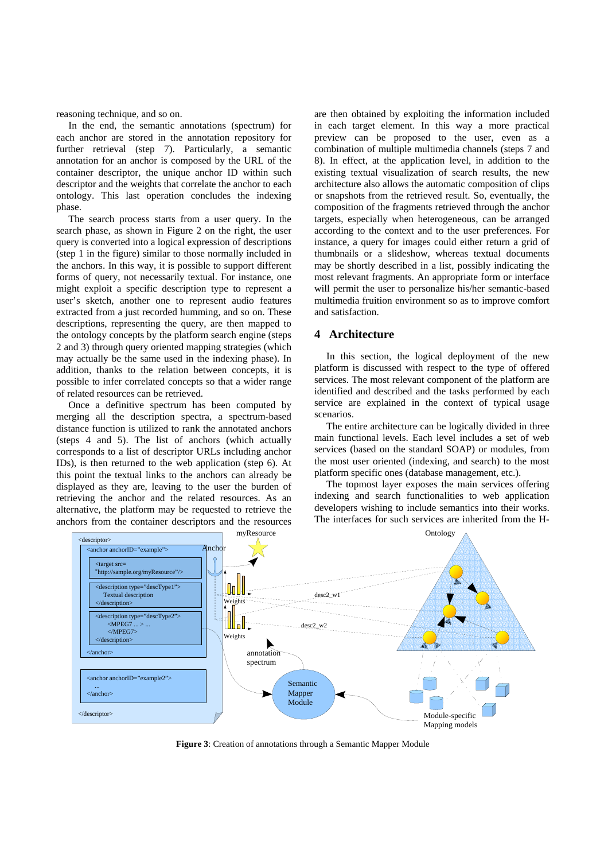reasoning technique, and so on.

In the end, the semantic annotations (spectrum) for each anchor are stored in the annotation repository for further retrieval (step 7). Particularly, a semantic annotation for an anchor is composed by the URL of the container descriptor, the unique anchor ID within such descriptor and the weights that correlate the anchor to each ontology. This last operation concludes the indexing phase.

The search process starts from a user query. In the search phase, as shown in Figure 2 on the right, the user query is converted into a logical expression of descriptions (step 1 in the figure) similar to those normally included in the anchors. In this way, it is possible to support different forms of query, not necessarily textual. For instance, one might exploit a specific description type to represent a user's sketch, another one to represent audio features extracted from a just recorded humming, and so on. These descriptions, representing the query, are then mapped to the ontology concepts by the platform search engine (steps 2 and 3) through query oriented mapping strategies (which may actually be the same used in the indexing phase). In addition, thanks to the relation between concepts, it is possible to infer correlated concepts so that a wider range of related resources can be retrieved.

Once a definitive spectrum has been computed by merging all the description spectra, a spectrum-based distance function is utilized to rank the annotated anchors (steps 4 and 5). The list of anchors (which actually corresponds to a list of descriptor URLs including anchor IDs), is then returned to the web application (step 6). At this point the textual links to the anchors can already be displayed as they are, leaving to the user the burden of retrieving the anchor and the related resources. As an alternative, the platform may be requested to retrieve the anchors from the container descriptors and the resources

are then obtained by exploiting the information included in each target element. In this way a more practical preview can be proposed to the user, even as a combination of multiple multimedia channels (steps 7 and 8). In effect, at the application level, in addition to the existing textual visualization of search results, the new architecture also allows the automatic composition of clips or snapshots from the retrieved result. So, eventually, the composition of the fragments retrieved through the anchor targets, especially when heterogeneous, can be arranged according to the context and to the user preferences. For instance, a query for images could either return a grid of thumbnails or a slideshow, whereas textual documents may be shortly described in a list, possibly indicating the most relevant fragments. An appropriate form or interface will permit the user to personalize his/her semantic-based multimedia fruition environment so as to improve comfort and satisfaction.

# **4 Architecture**

In this section, the logical deployment of the new platform is discussed with respect to the type of offered services. The most relevant component of the platform are identified and described and the tasks performed by each service are explained in the context of typical usage scenarios.

The entire architecture can be logically divided in three main functional levels. Each level includes a set of web services (based on the standard SOAP) or modules, from the most user oriented (indexing, and search) to the most platform specific ones (database management, etc.).

The topmost layer exposes the main services offering indexing and search functionalities to web application developers wishing to include semantics into their works. The interfaces for such services are inherited from the H-



**Figure 3**: Creation of annotations through a Semantic Mapper Module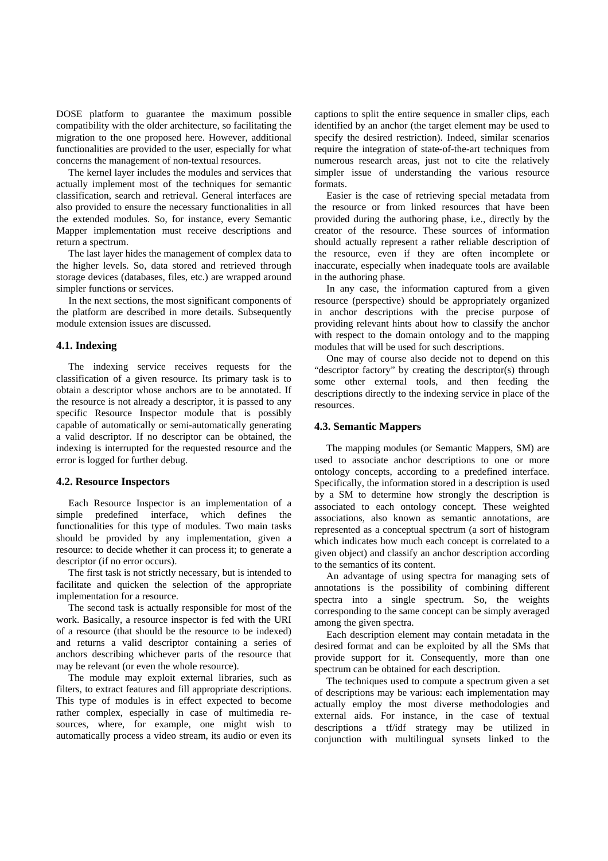DOSE platform to guarantee the maximum possible compatibility with the older architecture, so facilitating the migration to the one proposed here. However, additional functionalities are provided to the user, especially for what concerns the management of non-textual resources.

The kernel layer includes the modules and services that actually implement most of the techniques for semantic classification, search and retrieval. General interfaces are also provided to ensure the necessary functionalities in all the extended modules. So, for instance, every Semantic Mapper implementation must receive descriptions and return a spectrum.

The last layer hides the management of complex data to the higher levels. So, data stored and retrieved through storage devices (databases, files, etc.) are wrapped around simpler functions or services.

In the next sections, the most significant components of the platform are described in more details. Subsequently module extension issues are discussed.

### **4.1. Indexing**

The indexing service receives requests for the classification of a given resource. Its primary task is to obtain a descriptor whose anchors are to be annotated. If the resource is not already a descriptor, it is passed to any specific Resource Inspector module that is possibly capable of automatically or semi-automatically generating a valid descriptor. If no descriptor can be obtained, the indexing is interrupted for the requested resource and the error is logged for further debug.

#### **4.2. Resource Inspectors**

Each Resource Inspector is an implementation of a simple predefined interface, which defines the functionalities for this type of modules. Two main tasks should be provided by any implementation, given a resource: to decide whether it can process it; to generate a descriptor (if no error occurs).

The first task is not strictly necessary, but is intended to facilitate and quicken the selection of the appropriate implementation for a resource.

The second task is actually responsible for most of the work. Basically, a resource inspector is fed with the URI of a resource (that should be the resource to be indexed) and returns a valid descriptor containing a series of anchors describing whichever parts of the resource that may be relevant (or even the whole resource).

The module may exploit external libraries, such as filters, to extract features and fill appropriate descriptions. This type of modules is in effect expected to become rather complex, especially in case of multimedia resources, where, for example, one might wish to automatically process a video stream, its audio or even its

captions to split the entire sequence in smaller clips, each identified by an anchor (the target element may be used to specify the desired restriction). Indeed, similar scenarios require the integration of state-of-the-art techniques from numerous research areas, just not to cite the relatively simpler issue of understanding the various resource formats.

Easier is the case of retrieving special metadata from the resource or from linked resources that have been provided during the authoring phase, i.e., directly by the creator of the resource. These sources of information should actually represent a rather reliable description of the resource, even if they are often incomplete or inaccurate, especially when inadequate tools are available in the authoring phase.

In any case, the information captured from a given resource (perspective) should be appropriately organized in anchor descriptions with the precise purpose of providing relevant hints about how to classify the anchor with respect to the domain ontology and to the mapping modules that will be used for such descriptions.

One may of course also decide not to depend on this "descriptor factory" by creating the descriptor(s) through some other external tools, and then feeding the descriptions directly to the indexing service in place of the resources.

#### **4.3. Semantic Mappers**

The mapping modules (or Semantic Mappers, SM) are used to associate anchor descriptions to one or more ontology concepts, according to a predefined interface. Specifically, the information stored in a description is used by a SM to determine how strongly the description is associated to each ontology concept. These weighted associations, also known as semantic annotations, are represented as a conceptual spectrum (a sort of histogram which indicates how much each concept is correlated to a given object) and classify an anchor description according to the semantics of its content.

An advantage of using spectra for managing sets of annotations is the possibility of combining different spectra into a single spectrum. So, the weights corresponding to the same concept can be simply averaged among the given spectra.

Each description element may contain metadata in the desired format and can be exploited by all the SMs that provide support for it. Consequently, more than one spectrum can be obtained for each description.

The techniques used to compute a spectrum given a set of descriptions may be various: each implementation may actually employ the most diverse methodologies and external aids. For instance, in the case of textual descriptions a tf/idf strategy may be utilized in conjunction with multilingual synsets linked to the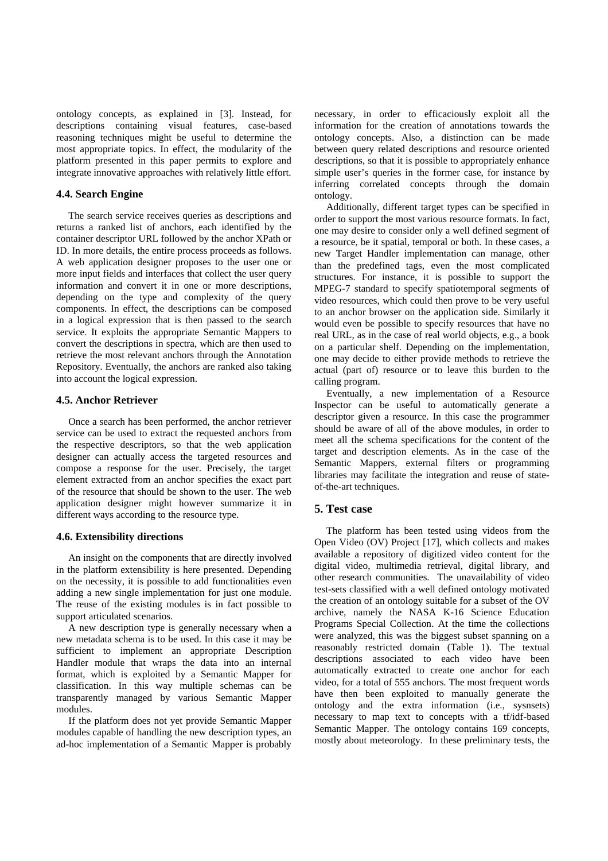ontology concepts, as explained in [3]. Instead, for descriptions containing visual features, case-based reasoning techniques might be useful to determine the most appropriate topics. In effect, the modularity of the platform presented in this paper permits to explore and integrate innovative approaches with relatively little effort.

### **4.4. Search Engine**

The search service receives queries as descriptions and returns a ranked list of anchors, each identified by the container descriptor URL followed by the anchor XPath or ID. In more details, the entire process proceeds as follows. A web application designer proposes to the user one or more input fields and interfaces that collect the user query information and convert it in one or more descriptions, depending on the type and complexity of the query components. In effect, the descriptions can be composed in a logical expression that is then passed to the search service. It exploits the appropriate Semantic Mappers to convert the descriptions in spectra, which are then used to retrieve the most relevant anchors through the Annotation Repository. Eventually, the anchors are ranked also taking into account the logical expression.

# **4.5. Anchor Retriever**

Once a search has been performed, the anchor retriever service can be used to extract the requested anchors from the respective descriptors, so that the web application designer can actually access the targeted resources and compose a response for the user. Precisely, the target element extracted from an anchor specifies the exact part of the resource that should be shown to the user. The web application designer might however summarize it in different ways according to the resource type.

#### **4.6. Extensibility directions**

An insight on the components that are directly involved in the platform extensibility is here presented. Depending on the necessity, it is possible to add functionalities even adding a new single implementation for just one module. The reuse of the existing modules is in fact possible to support articulated scenarios.

A new description type is generally necessary when a new metadata schema is to be used. In this case it may be sufficient to implement an appropriate Description Handler module that wraps the data into an internal format, which is exploited by a Semantic Mapper for classification. In this way multiple schemas can be transparently managed by various Semantic Mapper modules.

If the platform does not yet provide Semantic Mapper modules capable of handling the new description types, an ad-hoc implementation of a Semantic Mapper is probably necessary, in order to efficaciously exploit all the information for the creation of annotations towards the ontology concepts. Also, a distinction can be made between query related descriptions and resource oriented descriptions, so that it is possible to appropriately enhance simple user's queries in the former case, for instance by inferring correlated concepts through the domain ontology.

Additionally, different target types can be specified in order to support the most various resource formats. In fact, one may desire to consider only a well defined segment of a resource, be it spatial, temporal or both. In these cases, a new Target Handler implementation can manage, other than the predefined tags, even the most complicated structures. For instance, it is possible to support the MPEG-7 standard to specify spatiotemporal segments of video resources, which could then prove to be very useful to an anchor browser on the application side. Similarly it would even be possible to specify resources that have no real URL, as in the case of real world objects, e.g., a book on a particular shelf. Depending on the implementation, one may decide to either provide methods to retrieve the actual (part of) resource or to leave this burden to the calling program.

Eventually, a new implementation of a Resource Inspector can be useful to automatically generate a descriptor given a resource. In this case the programmer should be aware of all of the above modules, in order to meet all the schema specifications for the content of the target and description elements. As in the case of the Semantic Mappers, external filters or programming libraries may facilitate the integration and reuse of stateof-the-art techniques.

### **5. Test case**

The platform has been tested using videos from the Open Video (OV) Project [17], which collects and makes available a repository of digitized video content for the digital video, multimedia retrieval, digital library, and other research communities. The unavailability of video test-sets classified with a well defined ontology motivated the creation of an ontology suitable for a subset of the OV archive, namely the NASA K-16 Science Education Programs Special Collection. At the time the collections were analyzed, this was the biggest subset spanning on a reasonably restricted domain (Table 1). The textual descriptions associated to each video have been automatically extracted to create one anchor for each video, for a total of 555 anchors. The most frequent words have then been exploited to manually generate the ontology and the extra information (i.e., sysnsets) necessary to map text to concepts with a tf/idf-based Semantic Mapper. The ontology contains 169 concepts, mostly about meteorology. In these preliminary tests, the